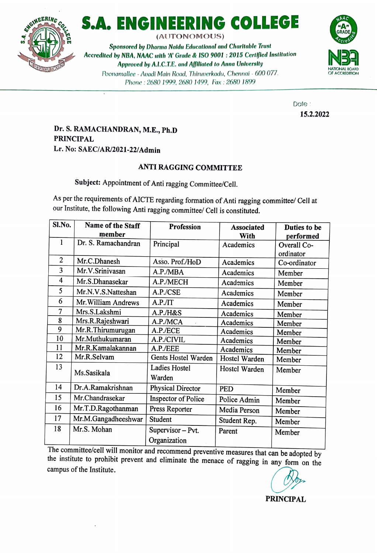

## S.A. ENGINEERING COLLEGE **ARE ARE**

(AUTONOMOUS)

Sponsored by Dharma Naidu Educational and Charitable Trust Accredited by NBA, NAAC with 'A' Grade & ISO 9001 : 2015 Certified Institution<br>Approved by A.I.C.T.E. and Affiliated to Anna University<br>Poonamallee - Avadi Main Road, Thiruverkadu, Chennai - 600 077. Approved by A.I.C.T.E. and Affiliated to Anna University Poonamallee - Avadi Main Road, Thiruverkadu, Chennai - 600 077. Phone: 2680 1999, 2680 1499, Fax: 2680 1899



Date: 15.2.2022

### Dr. S. RAMACHANDRAN, M.E., Ph.D PRINCIPAL Lr. No: SAEC/AR/2021-22/Admin

### ANTI RAGGING COMMITTEE

Subject: Appointment of Anti ragging Committee/Cell.

As per the requirements of AICTE regarding formation of Anti ragging committee/ Cell at our Institute, the following Anti ragging committee/ Cell is constituted.

| Sl.No.                  | <b>Name of the Staff</b> | Profession                 | <b>Associated</b> | Duties to be |
|-------------------------|--------------------------|----------------------------|-------------------|--------------|
|                         | member                   |                            | With              | performed    |
| 1                       | Dr. S. Ramachandran      | Principal                  | Academics         | Overall Co-  |
|                         |                          |                            |                   | ordinator    |
| $\overline{2}$          | Mr.C.Dhanesh             | Asso. Prof./HoD            | Academics         | Co-ordinator |
| 3                       | Mr.V.Srinivasan          | A.P./MBA                   | Academics         | Member       |
| $\overline{\mathbf{4}}$ | Mr.S.Dhanasekar          | A.P./MECH                  | Academics         | Member       |
| 5                       | Mr.N.V.S.Natteshan       | A.P./CSE                   | Academics         | Member       |
| 6                       | Mr. William Andrews      | A.P. /IT                   | Academics         | Member       |
| 7                       | Mrs.S.Lakshmi            | A.P./H&S                   | Academics         | Member       |
| 8                       | Mrs.R.Rajeshwari         | A.P./MCA                   | Academics         | Member       |
| 9                       | Mr.R.Thirumurugan        | A.P./ECE                   | Academics         | Member       |
| 10                      | Mr.Muthukumaran          | A.P./CIVIL                 | Academics         | Member       |
| 11                      | Mr.R.Kamalakannan        | A.P./EEE                   | Academics         | Member       |
| 12                      | Mr.R.Selvam              | Gents Hostel Warden        | Hostel Warden     | Member       |
| 13                      | Ms.Sasikala              | Ladies Hostel              | Hostel Warden     | Member       |
|                         |                          | Warden                     |                   |              |
| 14                      | Dr.A.Ramakrishnan        | <b>Physical Director</b>   | <b>PED</b>        | Member       |
| 15                      | Mr.Chandrasekar          | <b>Inspector of Police</b> | Police Admin      | Member       |
| 16                      | Mr.T.D.Ragothanman       | Press Reporter             | Media Person      | Member       |
| 17                      | Mr.M.Gangadheeshwar      | Student                    | Student Rep.      | Member       |
| 18                      | Mr.S. Mohan              | Supervisor - Pvt.          | Parent            | Member       |
|                         |                          | Organization               |                   |              |
| T <sub>1</sub>          |                          |                            |                   |              |

The committee/cell will monitor and recommend preventive measures that can be adopted by the institute to prohibit prevent and eliminate the menace of ragging in any form on the campus of the Institute.

PRINCIPAL